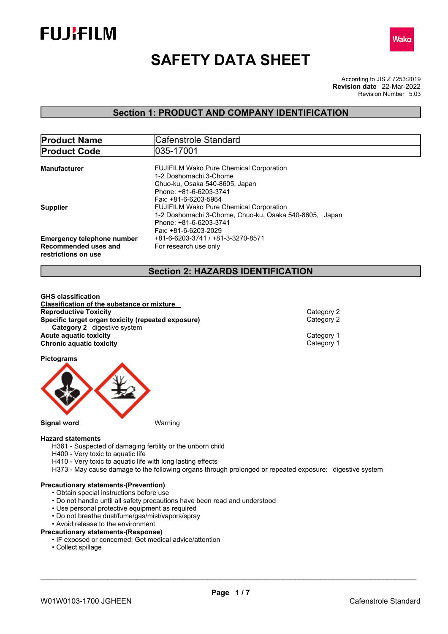



# **SAFETY DATA SHEET**

According to JIS Z 7253:2019 Revision Number 5.03 **Revision date** 22-Mar-2022

## **Section 1: PRODUCT AND COMPANY IDENTIFICATION**

| <b>Product Name</b>                         | Cafenstrole Standard                                   |  |  |
|---------------------------------------------|--------------------------------------------------------|--|--|
| <b>Product Code</b>                         | 035-17001                                              |  |  |
|                                             |                                                        |  |  |
| <b>Manufacturer</b>                         | <b>FUJIFILM Wako Pure Chemical Corporation</b>         |  |  |
|                                             | 1-2 Doshomachi 3-Chome                                 |  |  |
|                                             | Chuo-ku, Osaka 540-8605, Japan                         |  |  |
|                                             | Phone: +81-6-6203-3741                                 |  |  |
|                                             | Fax: +81-6-6203-5964                                   |  |  |
| <b>Supplier</b>                             | <b>FUJIFILM Wako Pure Chemical Corporation</b>         |  |  |
|                                             | 1-2 Doshomachi 3-Chome, Chuo-ku, Osaka 540-8605, Japan |  |  |
|                                             | Phone: +81-6-6203-3741                                 |  |  |
|                                             | Fax: +81-6-6203-2029                                   |  |  |
| <b>Emergency telephone number</b>           | +81-6-6203-3741 / +81-3-3270-8571                      |  |  |
| Recommended uses and<br>restrictions on use | For research use only                                  |  |  |

## **Section 2: HAZARDS IDENTIFICATION**

**GHS classification Classification of the substance or mixture Reproductive Toxicity**<br> **Specific target organ toxicity (repeated exposure)**<br>
Category 2 **Specific target organ toxicity (repeated exposure) Category 2** digestive system **Acute aquatic toxicity**<br> **Chronic aquatic toxicity**<br>
Chronic aquatic toxicity **Chronic aquatic toxicity** 

**Pictograms**



## **Hazard statements**

H361 - Suspected of damaging fertility or the unborn child

- H400 Very toxic to aquatic life
- H410 Very toxic to aquatic life with long lasting effects
- H373 May cause damage to the following organs through prolonged or repeated exposure: digestive system

#### **Precautionary statements-(Prevention)**

- Obtain special instructions before use
- Do not handle until all safety precautions have been read and understood
- Use personal protective equipment as required
- Do not breathe dust/fume/gas/mist/vapors/spray
- Avoid release to the environment

## **Precautionary statements-(Response)**

- IF exposed or concerned: Get medical advice/attention
- Collect spillage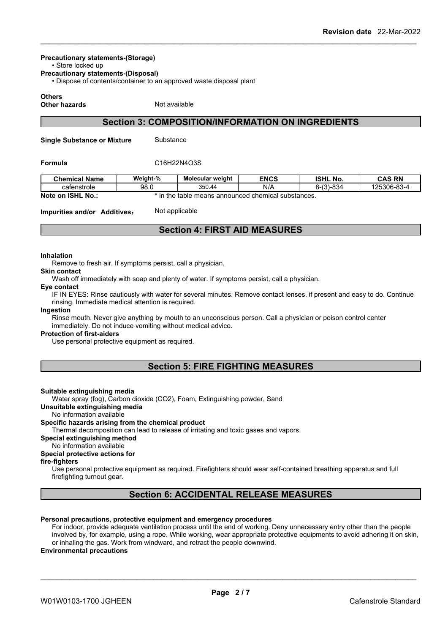## **Precautionary statements-(Storage)**

• Store locked up

**Precautionary statements-(Disposal)**

• Dispose of contents/container to an approved waste disposal plant

## **Others**

**Other hazards** Not available

## **Section 3: COMPOSITION/INFORMATION ON INGREDIENTS**

**Single Substance or Mixture** Substance

## **Formula** C16H22N4O3S

| <b>Chemical Name</b>           | Weight-%                | <b>Molecular weight</b> | <b>ENCS</b>                            | <b>ISHL No.</b> | <b>CAS RN</b> |
|--------------------------------|-------------------------|-------------------------|----------------------------------------|-----------------|---------------|
| cafenstrole                    | 98.0                    | 350.44                  | N/A                                    | $8-(3)-834$     | 125306-83-4   |
| Note on<br><b>ISHL</b><br>No.: | n the<br>$\overline{1}$ | table                   | e means announced chemical substances. |                 |               |

## **Impurities and/or Additives:** Not applicable

## **Section 4: FIRST AID MEASURES**

#### **Inhalation**

Remove to fresh air. If symptoms persist, call a physician.

## **Skin contact**

Wash off immediately with soap and plenty of water. If symptoms persist, call a physician.

#### **Eye contact**

IF IN EYES: Rinse cautiously with water for several minutes. Remove contact lenses, if present and easy to do. Continue rinsing. Immediate medical attention is required.

#### **Ingestion**

Rinse mouth. Never give anything by mouth to an unconscious person. Call a physician or poison control center immediately. Do not induce vomiting without medical advice.

## **Protection of first-aiders**

Use personal protective equipment as required.

## **Section 5: FIRE FIGHTING MEASURES**

## **Suitable extinguishing media**

Water spray (fog), Carbon dioxide (CO2), Foam, Extinguishing powder, Sand

**Unsuitable extinguishing media**

No information available

#### **Specific hazards arising from the chemical product**

Thermal decomposition can lead to release of irritating and toxic gases and vapors.

#### **Special extinguishing method**

No information available

#### **Special protective actions for**

**fire-fighters**

Use personal protective equipment as required.Firefighters should wear self-contained breathing apparatus and full firefighting turnout gear.

## **Section 6: ACCIDENTAL RELEASE MEASURES**

## **Personal precautions, protective equipment and emergency procedures**

For indoor, provide adequate ventilation process until the end of working. Deny unnecessary entry other than the people involved by, for example, using a rope. While working, wear appropriate protective equipments to avoid adhering it on skin, or inhaling the gas. Work from windward, and retract the people downwind.

## **Environmental precautions**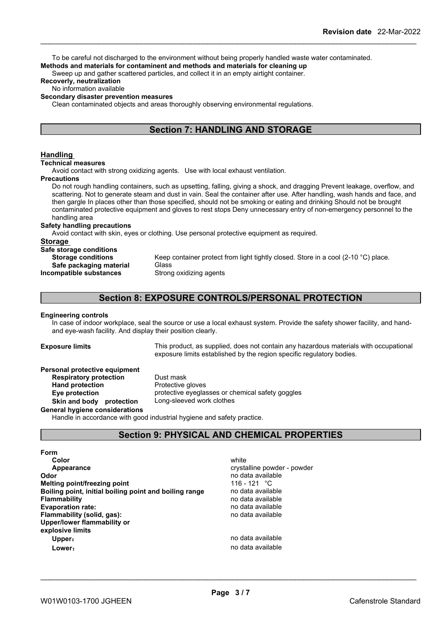To be careful not discharged to the environment without being properly handled waste water contaminated. **Methods and materials for contaminent and methods and materials for cleaning up**

Sweep up and gather scattered particles, and collect it in an empty airtight container.

## **Recoverly, neutralization**

## No information available

#### **Secondary disaster prevention measures**

Clean contaminated objects and areas thoroughly observing environmental regulations.

## **Section 7: HANDLING AND STORAGE**

## **Handling**

**Technical measures**

Avoid contact with strong oxidizing agents. Use with local exhaust ventilation.

#### **Precautions**

Do not rough handling containers, such as upsetting, falling, giving a shock, and dragging Prevent leakage, overflow, and scattering. Not to generate steam and dust in vain. Seal the container after use. After handling, wash hands and face, and then gargle In places other than those specified, should not be smoking or eating and drinking Should not be brought contaminated protective equipment and gloves to rest stops Deny unnecessary entry of non-emergency personnel to the handling area

#### **Safety handling precautions**

Avoid contact with skin, eyes or clothing. Use personal protective equipment as required.

#### **Storage**

| Safe storage conditions   |                                                                                    |
|---------------------------|------------------------------------------------------------------------------------|
| <b>Storage conditions</b> | Keep container protect from light tightly closed. Store in a cool (2-10 °C) place. |
| Safe packaging material   | Glass                                                                              |
| Incompatible substances   | Strong oxidizing agents                                                            |
|                           |                                                                                    |

## **Section 8: EXPOSURE CONTROLS/PERSONAL PROTECTION**

#### **Engineering controls**

In case of indoor workplace, seal the source or use a local exhaust system. Provide the safety shower facility, and handand eye-wash facility. And display their position clearly.

**Exposure limits** This product, as supplied, does not contain any hazardous materials with occupational exposure limits established by the region specific regulatory bodies.

## **Personal protective equipment**<br>**Respiratory protection** Dust mask **Respiratory** protection

**Hand protection** Protective gloves **Eye protection** protective eyeglasses or chemical safety goggles **Skin and body protection** Long-sleeved work clothes

**General hygiene considerations**

Handle in accordance with good industrial hygiene and safety practice.

## **Section 9: PHYSICAL AND CHEMICAL PROPERTIES**

**Form**

| Color                                                  | white                       |
|--------------------------------------------------------|-----------------------------|
| Appearance                                             | crystalline powder - powder |
| Odor                                                   | no data available           |
| Melting point/freezing point                           | 116 - 121 °C                |
| Boiling point, initial boiling point and boiling range | no data available           |
| <b>Flammability</b>                                    | no data available           |
| <b>Evaporation rate:</b>                               | no data available           |
| Flammability (solid, gas):                             | no data available           |
| Upper/lower flammability or                            |                             |
| explosive limits                                       |                             |
| Upper:                                                 | no data available           |
| Lower:                                                 | no data available           |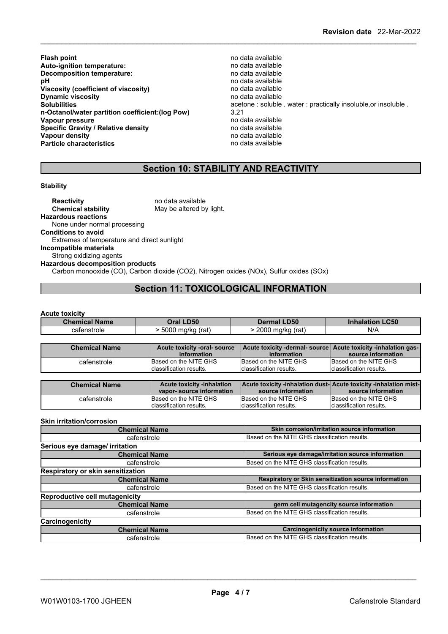- **Flash point** no data available **Auto-ignition temperature: Decomposition temperature:** no data available **pH** no data available<br> **Viscosity (coefficient of viscosity)** no data available **Viscosity (coefficient of viscosity)** no data available<br> **Dynamic viscosity no data available Dynamic viscosity**<br>Solubilities **n-Octanol/water partition coefficient:(log Pow)** 3.21 **Vapour pressure** no data available<br> **Specific Gravity / Relative density** enter the no data available **Specific Gravity / Relative density and the control of the Vapour density Vapour density Vapour density Vapour density**<br> **Particle characteristics**<br> **Particle characteristics**<br> **Particle characteristics Particle characteristics** 
	- **Solubilies** acetone : soluble . water : practically insoluble, or insoluble .  $3.21$

## **Section 10: STABILITY AND REACTIVITY**

## **Stability**

**Reactivity** no data available<br> **Chemical stability** May be altered by May be altered by light. **Hazardous reactions** None under normal processing **Conditions to avoid** Extremes of temperature and direct sunlight **Incompatible materials** Strong oxidizing agents **Hazardous decomposition products** Carbon monooxide (CO), Carbon dioxide (CO2), Nitrogen oxides (NOx), Sulfur oxides (SOx)

## **Section 11: TOXICOLOGICAL INFORMATION**

## **Acute toxicity**

| <b>Chemical Name</b> | <b>Oral LD50</b>    | <b>Dermal LD50</b>  | <b>LC50</b><br>Inhalation. |
|----------------------|---------------------|---------------------|----------------------------|
| catenstrole          | 5000 mg/kg<br>(rat) | 2000<br>ma/ka (rat) | N/A                        |

| <b>Chemical Name</b> | Acute toxicity -oral- source | Acute toxicity -dermal- source   Acute toxicity -inhalation gas- |                          |
|----------------------|------------------------------|------------------------------------------------------------------|--------------------------|
|                      | information                  | information                                                      | source information       |
| cafenstrole          | Based on the NITE GHS        | Based on the NITE GHS                                            | Based on the NITE GHS    |
|                      | Iclassification results.     | classification results.                                          | Iclassification results. |

| <b>Chemical Name</b> | <b>Acute toxicity -inhalation</b> | Acute toxicity -inhalation dust-Acute toxicity -inhalation mist- |                          |
|----------------------|-----------------------------------|------------------------------------------------------------------|--------------------------|
|                      | vapor-source information          | source information                                               | source information       |
| catenstrole          | Based on the NITE GHS             | Based on the NITE GHS                                            | Based on the NITE GHS    |
|                      | Iclassification results.          | classification results.                                          | Iclassification results. |

## **Skin irritation/corrosion**

| <b>Chemical Name</b>                  | Skin corrosion/irritation source information         |
|---------------------------------------|------------------------------------------------------|
| cafenstrole                           | Based on the NITE GHS classification results.        |
| Serious eye damage/ irritation        |                                                      |
| <b>Chemical Name</b>                  | Serious eye damage/irritation source information     |
| cafenstrole                           | Based on the NITE GHS classification results.        |
| Respiratory or skin sensitization     |                                                      |
| <b>Chemical Name</b>                  | Respiratory or Skin sensitization source information |
| cafenstrole                           | Based on the NITE GHS classification results.        |
| <b>Reproductive cell mutagenicity</b> |                                                      |
| <b>Chemical Name</b>                  | germ cell mutagencity source information             |
| cafenstrole                           | Based on the NITE GHS classification results.        |
| Carcinogenicity                       |                                                      |
| <b>Chemical Name</b>                  | <b>Carcinogenicity source information</b>            |
| cafenstrole                           | Based on the NITE GHS classification results.        |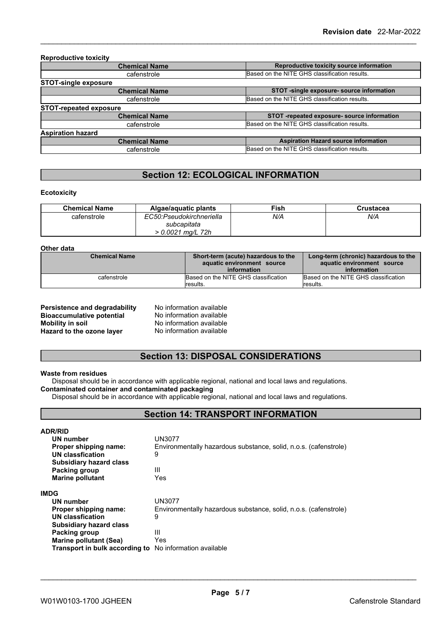| Reproductive toxicity source information<br><b>Chemical Name</b><br>Based on the NITE GHS classification results.<br>cafenstrole<br>STOT -single exposure- source information<br><b>Chemical Name</b><br>Based on the NITE GHS classification results.<br>cafenstrole<br><b>Chemical Name</b><br>Based on the NITE GHS classification results.<br>cafenstrole | <b>Reproductive toxicity</b>  |                                             |  |
|---------------------------------------------------------------------------------------------------------------------------------------------------------------------------------------------------------------------------------------------------------------------------------------------------------------------------------------------------------------|-------------------------------|---------------------------------------------|--|
|                                                                                                                                                                                                                                                                                                                                                               |                               |                                             |  |
|                                                                                                                                                                                                                                                                                                                                                               |                               |                                             |  |
|                                                                                                                                                                                                                                                                                                                                                               | <b>STOT-single exposure</b>   |                                             |  |
|                                                                                                                                                                                                                                                                                                                                                               |                               |                                             |  |
|                                                                                                                                                                                                                                                                                                                                                               |                               |                                             |  |
|                                                                                                                                                                                                                                                                                                                                                               | <b>STOT-repeated exposure</b> |                                             |  |
|                                                                                                                                                                                                                                                                                                                                                               |                               | STOT -repeated exposure- source information |  |
|                                                                                                                                                                                                                                                                                                                                                               |                               |                                             |  |
|                                                                                                                                                                                                                                                                                                                                                               | <b>Aspiration hazard</b>      |                                             |  |
| <b>Aspiration Hazard source information</b><br><b>Chemical Name</b>                                                                                                                                                                                                                                                                                           |                               |                                             |  |
| Based on the NITE GHS classification results.<br>cafenstrole                                                                                                                                                                                                                                                                                                  |                               |                                             |  |

## **Section 12: ECOLOGICAL INFORMATION**

## **Ecotoxicity**

| <b>Chemical Name</b> | Algae/aquatic plants                                         | Fish | Crustacea |
|----------------------|--------------------------------------------------------------|------|-----------|
| cafenstrole          | EC50:Pseudokirchneriella<br>subcapitata<br>> 0.0021 ma∕L 72h | N/A  | N/A       |

#### **Other data**

| <b>Chemical Name</b> | Short-term (acute) hazardous to the<br>aquatic environment source | Long-term (chronic) hazardous to the<br>aquatic environment source |
|----------------------|-------------------------------------------------------------------|--------------------------------------------------------------------|
|                      | information                                                       | information                                                        |
| cafenstrole          | Based on the NITE GHS classification                              | Based on the NITE GHS classification                               |
|                      | lresults.                                                         | results.                                                           |

| Persistence and degradability    |
|----------------------------------|
| <b>Bioaccumulative potential</b> |
| <b>Mobility in soil</b>          |
| Hazard to the ozone layer        |

**No information available No information available Mobility in soil** No information available **Hazard to the ozone layer** No information available

## **Section 13: DISPOSAL CONSIDERATIONS**

## **Waste from residues**

Disposal should be in accordance with applicable regional, national and local laws and regulations.

## **Contaminated container and contaminated packaging**

Disposal should be in accordance with applicable regional, national and local laws and regulations.

## **Section 14: TRANSPORT INFORMATION**

| <b>ADR/RID</b>                                                 |                                                                  |  |  |  |
|----------------------------------------------------------------|------------------------------------------------------------------|--|--|--|
| <b>UN number</b>                                               | UN3077                                                           |  |  |  |
| Proper shipping name:                                          | Environmentally hazardous substance, solid, n.o.s. (cafenstrole) |  |  |  |
| UN classfication                                               | 9                                                                |  |  |  |
| <b>Subsidiary hazard class</b>                                 |                                                                  |  |  |  |
| Packing group                                                  | Ш                                                                |  |  |  |
| <b>Marine pollutant</b>                                        | Yes                                                              |  |  |  |
| <b>IMDG</b>                                                    |                                                                  |  |  |  |
| UN number                                                      | UN3077                                                           |  |  |  |
| Proper shipping name:                                          | Environmentally hazardous substance, solid, n.o.s. (cafenstrole) |  |  |  |
| <b>UN classfication</b>                                        | 9                                                                |  |  |  |
| <b>Subsidiary hazard class</b>                                 |                                                                  |  |  |  |
| Packing group                                                  | Ш                                                                |  |  |  |
| Marine pollutant (Sea)                                         | Yes                                                              |  |  |  |
| <b>Transport in bulk according to</b> No information available |                                                                  |  |  |  |
|                                                                |                                                                  |  |  |  |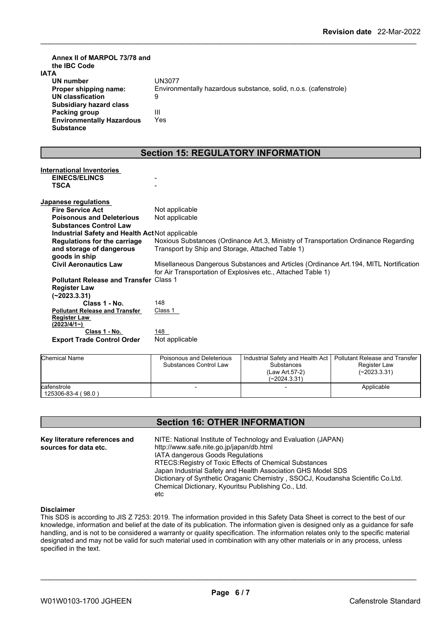| Annex II of MARPOL 73/78 and<br>the IBC Code<br><b>IATA</b><br><b>UN number</b><br>Proper shipping name:<br><b>UN classfication</b><br><b>Subsidiary hazard class</b><br>Packing group<br><b>Environmentally Hazardous</b><br><b>Substance</b> | UN3077<br>Environmentally hazardous substance, solid, n.o.s. (cafenstrole)<br>9<br>III<br>Yes |
|------------------------------------------------------------------------------------------------------------------------------------------------------------------------------------------------------------------------------------------------|-----------------------------------------------------------------------------------------------|
|                                                                                                                                                                                                                                                | <b>Section 15: REGULATORY INFORMATION</b>                                                     |
|                                                                                                                                                                                                                                                |                                                                                               |
| <b>International Inventories</b>                                                                                                                                                                                                               |                                                                                               |
| <b>EINECS/ELINCS</b><br><b>TSCA</b>                                                                                                                                                                                                            |                                                                                               |
|                                                                                                                                                                                                                                                |                                                                                               |
| Japanese regulations                                                                                                                                                                                                                           |                                                                                               |
| <b>Fire Service Act</b>                                                                                                                                                                                                                        | Not applicable                                                                                |
| <b>Poisonous and Deleterious</b>                                                                                                                                                                                                               | Not applicable                                                                                |
| <b>Substances Control Law</b>                                                                                                                                                                                                                  |                                                                                               |
| Industrial Safety and Health Act Not applicable                                                                                                                                                                                                |                                                                                               |
| <b>Regulations for the carriage</b>                                                                                                                                                                                                            | Noxious Substances (Ordinance Art.3, Ministry of Transportation Ordinance Regarding           |
| and storage of dangerous                                                                                                                                                                                                                       | Transport by Ship and Storage, Attached Table 1)                                              |
| goods in ship                                                                                                                                                                                                                                  |                                                                                               |
| <b>Civil Aeronautics Law</b>                                                                                                                                                                                                                   | Misellaneous Dangerous Substances and Articles (Ordinance Art. 194, MITL Nortification        |
|                                                                                                                                                                                                                                                | for Air Transportation of Explosives etc., Attached Table 1)                                  |
| Pollutant Release and Transfer Class 1                                                                                                                                                                                                         |                                                                                               |
| <b>Register Law</b>                                                                                                                                                                                                                            |                                                                                               |
| $(-2023.3.31)$                                                                                                                                                                                                                                 |                                                                                               |
| Class 1 - No.                                                                                                                                                                                                                                  | 148                                                                                           |
| <b>Pollutant Release and Transfer</b>                                                                                                                                                                                                          | Class 1                                                                                       |
| <b>Register Law</b>                                                                                                                                                                                                                            |                                                                                               |
| (2023/4/1)                                                                                                                                                                                                                                     |                                                                                               |
| Class 1 - No.                                                                                                                                                                                                                                  | 148                                                                                           |
| <b>Export Trade Control Order</b>                                                                                                                                                                                                              | Not applicable                                                                                |
|                                                                                                                                                                                                                                                |                                                                                               |

| <b>Chemical Name</b> | Poisonous and Deleterious | Industrial Safety and Health Act | Pollutant Release and Transfer |  |
|----------------------|---------------------------|----------------------------------|--------------------------------|--|
|                      | Substances Control Law    | <b>Substances</b>                | Register Law                   |  |
|                      |                           | (Law Art 57-2)                   | (~2023.3.31)                   |  |
|                      |                           | (~2024.3.31)                     |                                |  |
| cafenstrole          |                           |                                  | Applicable                     |  |
| 125306-83-4 (98.0)   |                           |                                  |                                |  |

## **Section 16: OTHER INFORMATION**

**Key literature references and Key literature references and** NITE: National Institute of Technology and Evaluation (JAPAN) sources for data etc. http://www.safe.nite.go.jp/japan/db.html IATA dangerous Goods Regulations RTECS:Registry of Toxic Effects of Chemical Substances Japan Industrial Safety and Health Association GHS Model SDS Dictionary of Synthetic Oraganic Chemistry , SSOCJ, Koudansha Scientific Co.Ltd. Chemical Dictionary, Kyouritsu Publishing Co., Ltd. etc

## **Disclaimer**

This SDS is according to JIS Z 7253: 2019. The information provided in this Safety Data Sheet is correct to the best of our knowledge, information and belief at the date of its publication. The information given is designed only as a guidance for safe handling, and is not to be considered a warranty or quality specification. The information relates only to the specific material designated and may not be valid for such material used in combination with any other materials or in any process, unless specified in the text.